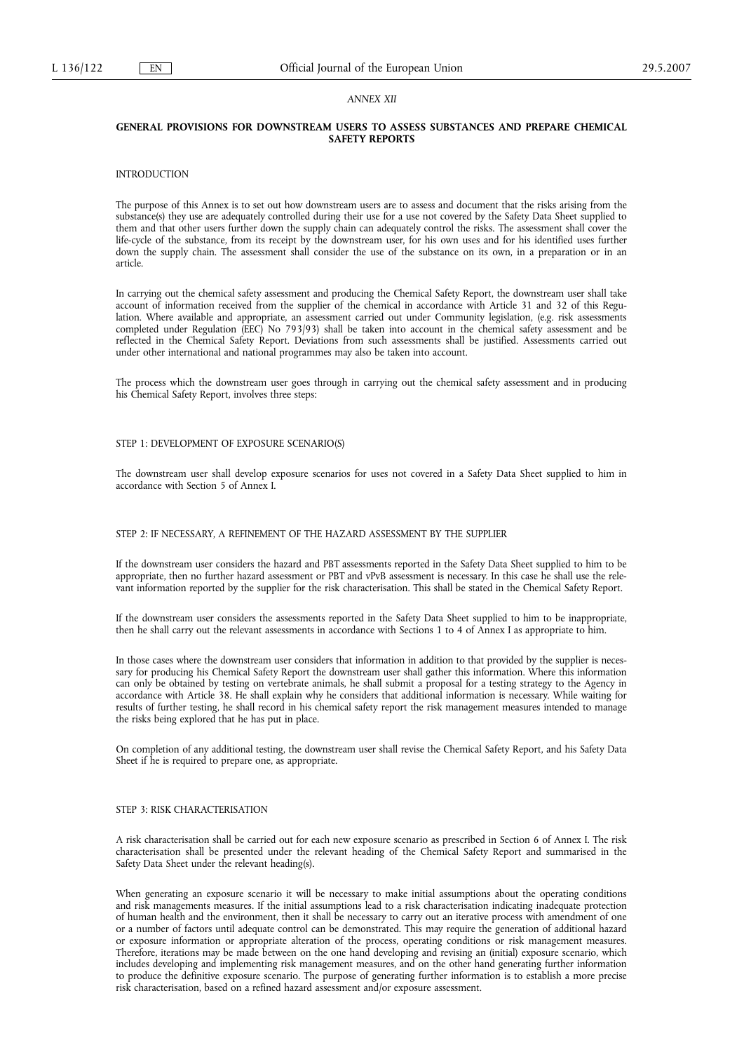### *ANNEX XII*

# **GENERAL PROVISIONS FOR DOWNSTREAM USERS TO ASSESS SUBSTANCES AND PREPARE CHEMICAL SAFETY REPORTS**

### **INTRODUCTION**

The purpose of this Annex is to set out how downstream users are to assess and document that the risks arising from the substance(s) they use are adequately controlled during their use for a use not covered by the Safety Data Sheet supplied to them and that other users further down the supply chain can adequately control the risks. The assessment shall cover the life-cycle of the substance, from its receipt by the downstream user, for his own uses and for his identified uses further down the supply chain. The assessment shall consider the use of the substance on its own, in a preparation or in an article.

In carrying out the chemical safety assessment and producing the Chemical Safety Report, the downstream user shall take account of information received from the supplier of the chemical in accordance with Article 31 and 32 of this Regulation. Where available and appropriate, an assessment carried out under Community legislation, (e.g. risk assessments completed under Regulation (EEC) No 793/93) shall be taken into account in the chemical safety assessment and be reflected in the Chemical Safety Report. Deviations from such assessments shall be justified. Assessments carried out under other international and national programmes may also be taken into account.

The process which the downstream user goes through in carrying out the chemical safety assessment and in producing his Chemical Safety Report, involves three steps:

## STEP 1: DEVELOPMENT OF EXPOSURE SCENARIO(S)

The downstream user shall develop exposure scenarios for uses not covered in a Safety Data Sheet supplied to him in accordance with Section 5 of Annex I.

## STEP 2: IF NECESSARY, A REFINEMENT OF THE HAZARD ASSESSMENT BY THE SUPPLIER

If the downstream user considers the hazard and PBT assessments reported in the Safety Data Sheet supplied to him to be appropriate, then no further hazard assessment or PBT and vPvB assessment is necessary. In this case he shall use the relevant information reported by the supplier for the risk characterisation. This shall be stated in the Chemical Safety Report.

If the downstream user considers the assessments reported in the Safety Data Sheet supplied to him to be inappropriate, then he shall carry out the relevant assessments in accordance with Sections 1 to 4 of Annex I as appropriate to him.

In those cases where the downstream user considers that information in addition to that provided by the supplier is necessary for producing his Chemical Safety Report the downstream user shall gather this information. Where this information can only be obtained by testing on vertebrate animals, he shall submit a proposal for a testing strategy to the Agency in accordance with Article 38. He shall explain why he considers that additional information is necessary. While waiting for results of further testing, he shall record in his chemical safety report the risk management measures intended to manage the risks being explored that he has put in place.

On completion of any additional testing, the downstream user shall revise the Chemical Safety Report, and his Safety Data Sheet if he is required to prepare one, as appropriate.

### STEP 3: RISK CHARACTERISATION

A risk characterisation shall be carried out for each new exposure scenario as prescribed in Section 6 of Annex I. The risk characterisation shall be presented under the relevant heading of the Chemical Safety Report and summarised in the Safety Data Sheet under the relevant heading(s).

When generating an exposure scenario it will be necessary to make initial assumptions about the operating conditions and risk managements measures. If the initial assumptions lead to a risk characterisation indicating inadequate protection of human health and the environment, then it shall be necessary to carry out an iterative process with amendment of one or a number of factors until adequate control can be demonstrated. This may require the generation of additional hazard or exposure information or appropriate alteration of the process, operating conditions or risk management measures. Therefore, iterations may be made between on the one hand developing and revising an (initial) exposure scenario, which includes developing and implementing risk management measures, and on the other hand generating further information to produce the definitive exposure scenario. The purpose of generating further information is to establish a more precise risk characterisation, based on a refined hazard assessment and/or exposure assessment.